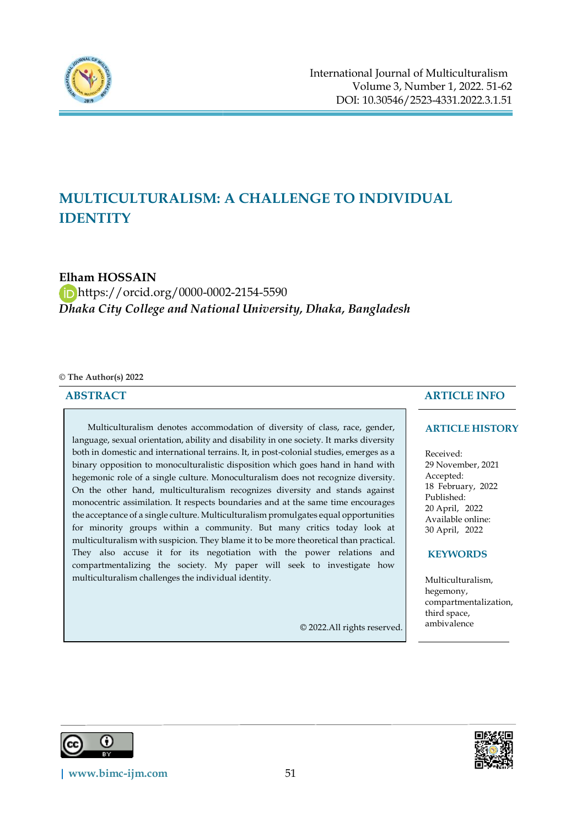

# **MULTICULTURALISM: A CHALLENGE TO INDIVIDUAL IDENTITY**

# **Elham HOSSAIN**

# https://orcid.org/0000-0002-2154-5590 *Dhaka City College and National University, Dhaka, Bangladesh*

**© The Author(s) 2022**

#### **ABSTRACT**

Multiculturalism denotes accommodation of diversity of class, race, gender, language, sexual orientation, ability and disability in one society. It marks diversity both in domestic and international terrains. It, in post-colonial studies, emerges as a binary opposition to monoculturalistic disposition which goes hand in hand with hegemonic role of a single culture. Monoculturalism does not recognize diversity. On the other hand, multiculturalism recognizes diversity and stands against monocentric assimilation. It respects boundaries and at the same time encourages the acceptance of a single culture. Multiculturalism promulgates equal opportunities for minority groups within a community. But many critics today look at multiculturalism with suspicion. They blame it to be more theoretical than practical. They also accuse it for its negotiation with the power relations and compartmentalizing the society. My paper will seek to investigate how multiculturalism challenges the individual identity.

© 2022.All rights reserved.

## **ARTICLE INFO**

#### **ARTICLE HISTORY**

Received: 29 November, 2021 Accepted: 18 February, 2022 Published: 20 April, 2022 Available online: 30 April, 2022

#### **KEYWORDS**

Multiculturalism, hegemony, compartmentalization, third space, ambivalence



 $\overline{a}$ 

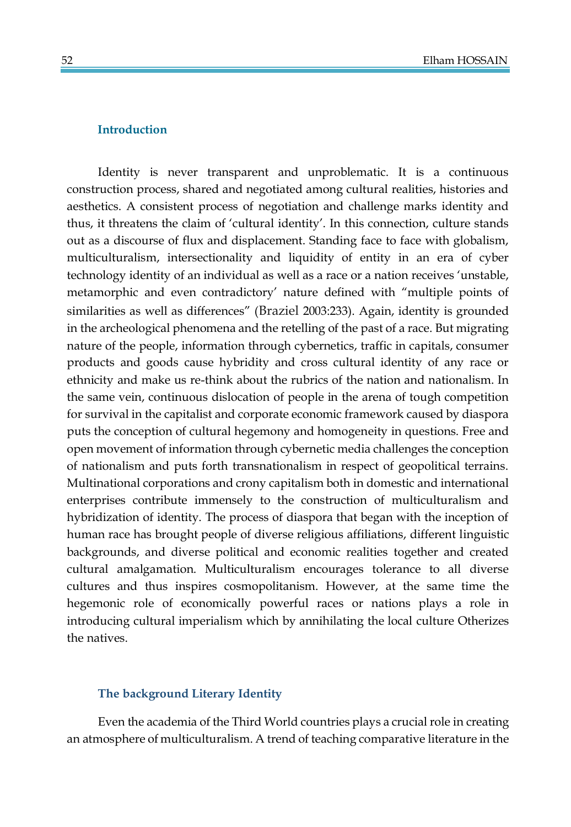#### **Introduction**

Identity is never transparent and unproblematic. It is a continuous construction process, shared and negotiated among cultural realities, histories and aesthetics. A consistent process of negotiation and challenge marks identity and thus, it threatens the claim of 'cultural identity'. In this connection, culture stands out as a discourse of flux and displacement. Standing face to face with globalism, multiculturalism, intersectionality and liquidity of entity in an era of cyber technology identity of an individual as well as a race or a nation receives 'unstable, metamorphic and even contradictory' nature defined with "multiple points of similarities as well as differences" (Braziel 2003:233). Again, identity is grounded in the archeological phenomena and the retelling of the past of a race. But migrating nature of the people, information through cybernetics, traffic in capitals, consumer products and goods cause hybridity and cross cultural identity of any race or ethnicity and make us re-think about the rubrics of the nation and nationalism. In the same vein, continuous dislocation of people in the arena of tough competition for survival in the capitalist and corporate economic framework caused by diaspora puts the conception of cultural hegemony and homogeneity in questions. Free and open movement of information through cybernetic media challenges the conception of nationalism and puts forth transnationalism in respect of geopolitical terrains. Multinational corporations and crony capitalism both in domestic and international enterprises contribute immensely to the construction of multiculturalism and hybridization of identity. The process of diaspora that began with the inception of human race has brought people of diverse religious affiliations, different linguistic backgrounds, and diverse political and economic realities together and created cultural amalgamation. Multiculturalism encourages tolerance to all diverse cultures and thus inspires cosmopolitanism. However, at the same time the hegemonic role of economically powerful races or nations plays a role in introducing cultural imperialism which by annihilating the local culture Otherizes the natives.

#### **The background Literary Identity**

Even the academia of the Third World countries plays a crucial role in creating an atmosphere of multiculturalism. A trend of teaching comparative literature in the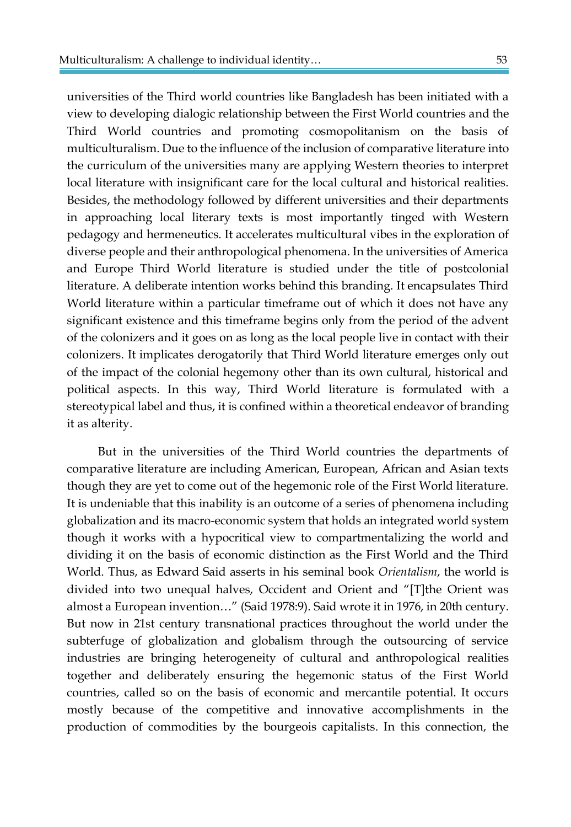universities of the Third world countries like Bangladesh has been initiated with a view to developing dialogic relationship between the First World countries and the Third World countries and promoting cosmopolitanism on the basis of multiculturalism. Due to the influence of the inclusion of comparative literature into the curriculum of the universities many are applying Western theories to interpret local literature with insignificant care for the local cultural and historical realities. Besides, the methodology followed by different universities and their departments in approaching local literary texts is most importantly tinged with Western pedagogy and hermeneutics. It accelerates multicultural vibes in the exploration of diverse people and their anthropological phenomena. In the universities of America and Europe Third World literature is studied under the title of postcolonial literature. A deliberate intention works behind this branding. It encapsulates Third World literature within a particular timeframe out of which it does not have any significant existence and this timeframe begins only from the period of the advent of the colonizers and it goes on as long as the local people live in contact with their colonizers. It implicates derogatorily that Third World literature emerges only out of the impact of the colonial hegemony other than its own cultural, historical and political aspects. In this way, Third World literature is formulated with a stereotypical label and thus, it is confined within a theoretical endeavor of branding it as alterity.

But in the universities of the Third World countries the departments of comparative literature are including American, European, African and Asian texts though they are yet to come out of the hegemonic role of the First World literature. It is undeniable that this inability is an outcome of a series of phenomena including globalization and its macro-economic system that holds an integrated world system though it works with a hypocritical view to compartmentalizing the world and dividing it on the basis of economic distinction as the First World and the Third World. Thus, as Edward Said asserts in his seminal book *Orientalism*, the world is divided into two unequal halves, Occident and Orient and "[T]the Orient was almost a European invention…" (Said 1978:9). Said wrote it in 1976, in 20th century. But now in 21st century transnational practices throughout the world under the subterfuge of globalization and globalism through the outsourcing of service industries are bringing heterogeneity of cultural and anthropological realities together and deliberately ensuring the hegemonic status of the First World countries, called so on the basis of economic and mercantile potential. It occurs mostly because of the competitive and innovative accomplishments in the production of commodities by the bourgeois capitalists. In this connection, the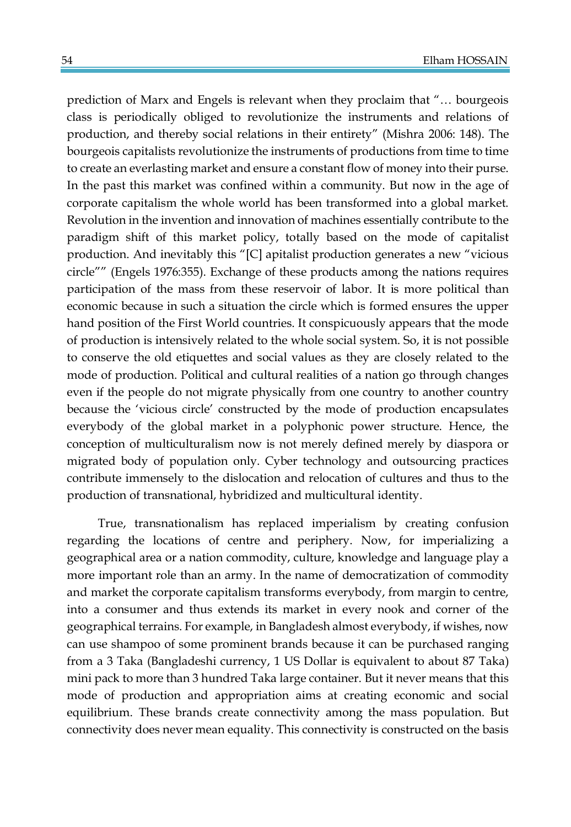prediction of Marx and Engels is relevant when they proclaim that "… bourgeois class is periodically obliged to revolutionize the instruments and relations of production, and thereby social relations in their entirety" (Mishra 2006: 148). The bourgeois capitalists revolutionize the instruments of productions from time to time to create an everlasting market and ensure a constant flow of money into their purse. In the past this market was confined within a community. But now in the age of corporate capitalism the whole world has been transformed into a global market. Revolution in the invention and innovation of machines essentially contribute to the paradigm shift of this market policy, totally based on the mode of capitalist production. And inevitably this "[C] apitalist production generates a new "vicious circle"" (Engels 1976:355). Exchange of these products among the nations requires participation of the mass from these reservoir of labor. It is more political than economic because in such a situation the circle which is formed ensures the upper hand position of the First World countries. It conspicuously appears that the mode of production is intensively related to the whole social system. So, it is not possible to conserve the old etiquettes and social values as they are closely related to the mode of production. Political and cultural realities of a nation go through changes even if the people do not migrate physically from one country to another country because the 'vicious circle' constructed by the mode of production encapsulates everybody of the global market in a polyphonic power structure. Hence, the conception of multiculturalism now is not merely defined merely by diaspora or migrated body of population only. Cyber technology and outsourcing practices contribute immensely to the dislocation and relocation of cultures and thus to the production of transnational, hybridized and multicultural identity.

True, transnationalism has replaced imperialism by creating confusion regarding the locations of centre and periphery. Now, for imperializing a geographical area or a nation commodity, culture, knowledge and language play a more important role than an army. In the name of democratization of commodity and market the corporate capitalism transforms everybody, from margin to centre, into a consumer and thus extends its market in every nook and corner of the geographical terrains. For example, in Bangladesh almost everybody, if wishes, now can use shampoo of some prominent brands because it can be purchased ranging from a 3 Taka (Bangladeshi currency, 1 US Dollar is equivalent to about 87 Taka) mini pack to more than 3 hundred Taka large container. But it never means that this mode of production and appropriation aims at creating economic and social equilibrium. These brands create connectivity among the mass population. But connectivity does never mean equality. This connectivity is constructed on the basis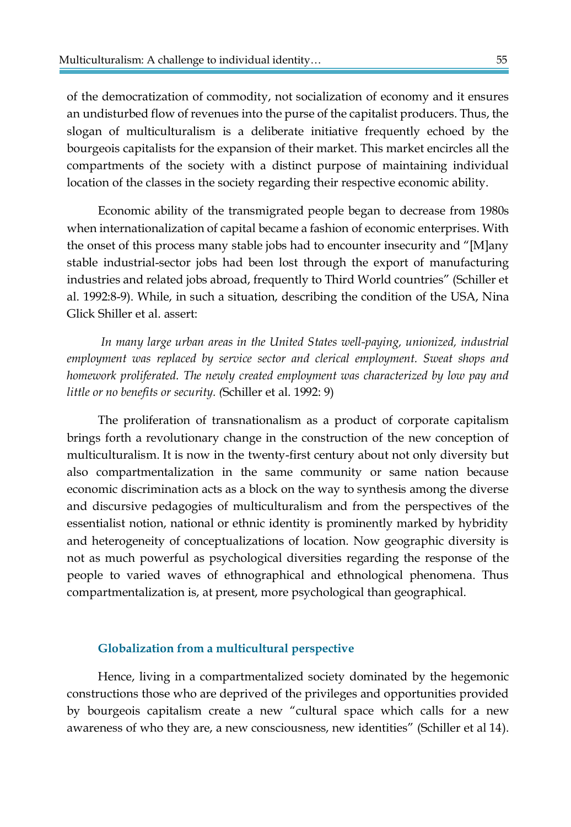of the democratization of commodity, not socialization of economy and it ensures an undisturbed flow of revenues into the purse of the capitalist producers. Thus, the slogan of multiculturalism is a deliberate initiative frequently echoed by the bourgeois capitalists for the expansion of their market. This market encircles all the compartments of the society with a distinct purpose of maintaining individual location of the classes in the society regarding their respective economic ability.

Economic ability of the transmigrated people began to decrease from 1980s when internationalization of capital became a fashion of economic enterprises. With the onset of this process many stable jobs had to encounter insecurity and "[M]any stable industrial-sector jobs had been lost through the export of manufacturing industries and related jobs abroad, frequently to Third World countries" (Schiller et al. 1992:8-9). While, in such a situation, describing the condition of the USA, Nina Glick Shiller et al. assert:

*In many large urban areas in the United States well-paying, unionized, industrial employment was replaced by service sector and clerical employment. Sweat shops and homework proliferated. The newly created employment was characterized by low pay and little or no benefits or security. (*Schiller et al. 1992: 9)

The proliferation of transnationalism as a product of corporate capitalism brings forth a revolutionary change in the construction of the new conception of multiculturalism. It is now in the twenty-first century about not only diversity but also compartmentalization in the same community or same nation because economic discrimination acts as a block on the way to synthesis among the diverse and discursive pedagogies of multiculturalism and from the perspectives of the essentialist notion, national or ethnic identity is prominently marked by hybridity and heterogeneity of conceptualizations of location. Now geographic diversity is not as much powerful as psychological diversities regarding the response of the people to varied waves of ethnographical and ethnological phenomena. Thus compartmentalization is, at present, more psychological than geographical.

## **Globalization from a multicultural perspective**

Hence, living in a compartmentalized society dominated by the hegemonic constructions those who are deprived of the privileges and opportunities provided by bourgeois capitalism create a new "cultural space which calls for a new awareness of who they are, a new consciousness, new identities" (Schiller et al 14).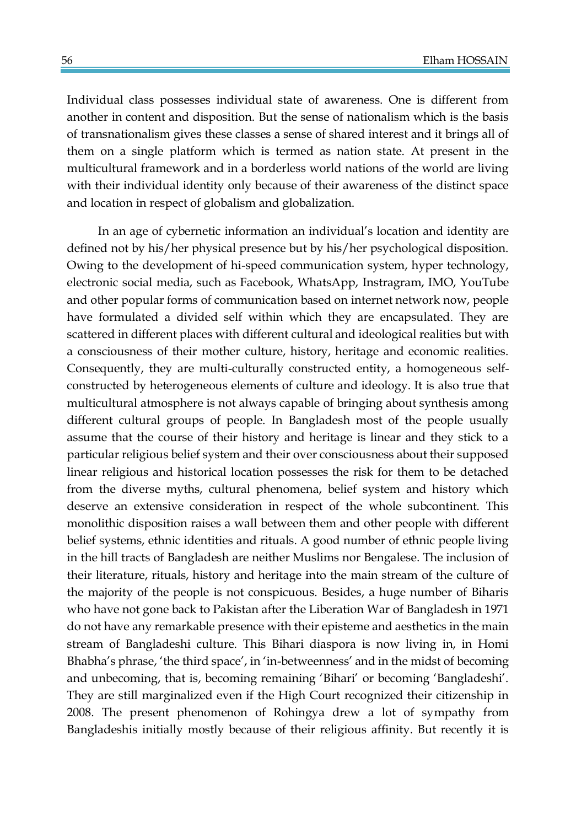Individual class possesses individual state of awareness. One is different from another in content and disposition. But the sense of nationalism which is the basis of transnationalism gives these classes a sense of shared interest and it brings all of them on a single platform which is termed as nation state. At present in the multicultural framework and in a borderless world nations of the world are living with their individual identity only because of their awareness of the distinct space and location in respect of globalism and globalization.

In an age of cybernetic information an individual's location and identity are defined not by his/her physical presence but by his/her psychological disposition. Owing to the development of hi-speed communication system, hyper technology, electronic social media, such as Facebook, WhatsApp, Instragram, IMO, YouTube and other popular forms of communication based on internet network now, people have formulated a divided self within which they are encapsulated. They are scattered in different places with different cultural and ideological realities but with a consciousness of their mother culture, history, heritage and economic realities. Consequently, they are multi-culturally constructed entity, a homogeneous selfconstructed by heterogeneous elements of culture and ideology. It is also true that multicultural atmosphere is not always capable of bringing about synthesis among different cultural groups of people. In Bangladesh most of the people usually assume that the course of their history and heritage is linear and they stick to a particular religious belief system and their over consciousness about their supposed linear religious and historical location possesses the risk for them to be detached from the diverse myths, cultural phenomena, belief system and history which deserve an extensive consideration in respect of the whole subcontinent. This monolithic disposition raises a wall between them and other people with different belief systems, ethnic identities and rituals. A good number of ethnic people living in the hill tracts of Bangladesh are neither Muslims nor Bengalese. The inclusion of their literature, rituals, history and heritage into the main stream of the culture of the majority of the people is not conspicuous. Besides, a huge number of Biharis who have not gone back to Pakistan after the Liberation War of Bangladesh in 1971 do not have any remarkable presence with their episteme and aesthetics in the main stream of Bangladeshi culture. This Bihari diaspora is now living in, in Homi Bhabha's phrase, 'the third space', in 'in-betweenness' and in the midst of becoming and unbecoming, that is, becoming remaining 'Bihari' or becoming 'Bangladeshi'. They are still marginalized even if the High Court recognized their citizenship in 2008. The present phenomenon of Rohingya drew a lot of sympathy from Bangladeshis initially mostly because of their religious affinity. But recently it is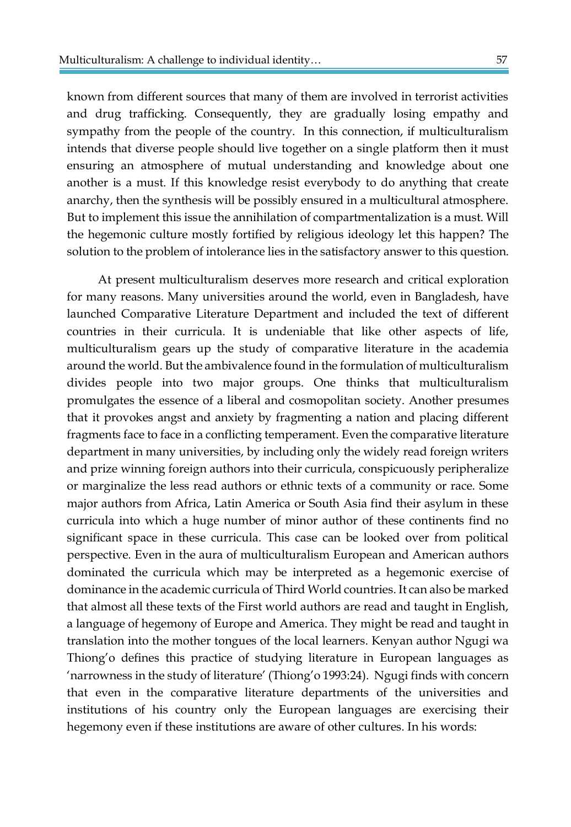known from different sources that many of them are involved in terrorist activities and drug trafficking. Consequently, they are gradually losing empathy and sympathy from the people of the country. In this connection, if multiculturalism intends that diverse people should live together on a single platform then it must ensuring an atmosphere of mutual understanding and knowledge about one another is a must. If this knowledge resist everybody to do anything that create anarchy, then the synthesis will be possibly ensured in a multicultural atmosphere. But to implement this issue the annihilation of compartmentalization is a must. Will the hegemonic culture mostly fortified by religious ideology let this happen? The solution to the problem of intolerance lies in the satisfactory answer to this question.

At present multiculturalism deserves more research and critical exploration for many reasons. Many universities around the world, even in Bangladesh, have launched Comparative Literature Department and included the text of different countries in their curricula. It is undeniable that like other aspects of life, multiculturalism gears up the study of comparative literature in the academia around the world. But the ambivalence found in the formulation of multiculturalism divides people into two major groups. One thinks that multiculturalism promulgates the essence of a liberal and cosmopolitan society. Another presumes that it provokes angst and anxiety by fragmenting a nation and placing different fragments face to face in a conflicting temperament. Even the comparative literature department in many universities, by including only the widely read foreign writers and prize winning foreign authors into their curricula, conspicuously peripheralize or marginalize the less read authors or ethnic texts of a community or race. Some major authors from Africa, Latin America or South Asia find their asylum in these curricula into which a huge number of minor author of these continents find no significant space in these curricula. This case can be looked over from political perspective. Even in the aura of multiculturalism European and American authors dominated the curricula which may be interpreted as a hegemonic exercise of dominance in the academic curricula of Third World countries. It can also be marked that almost all these texts of the First world authors are read and taught in English, a language of hegemony of Europe and America. They might be read and taught in translation into the mother tongues of the local learners. Kenyan author Ngugi wa Thiong'o defines this practice of studying literature in European languages as 'narrowness in the study of literature' (Thiong'o 1993:24). Ngugi finds with concern that even in the comparative literature departments of the universities and institutions of his country only the European languages are exercising their hegemony even if these institutions are aware of other cultures. In his words: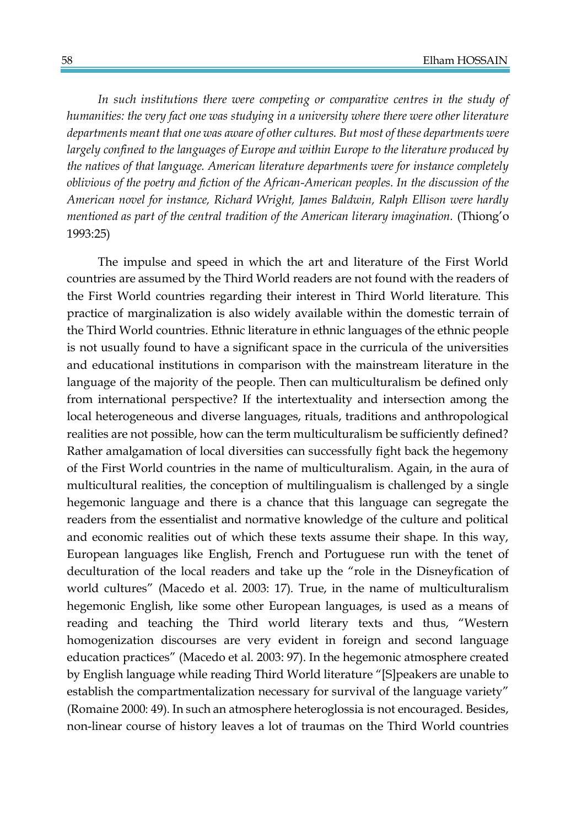In such institutions there were competing or comparative centres in the study of *humanities: the very fact one was studying in a university where there were other literature departments meant that one was aware of other cultures. But most of these departments were largely confined to the languages of Europe and within Europe to the literature produced by the natives of that language. American literature departments were for instance completely oblivious of the poetry and fiction of the African-American peoples. In the discussion of the American novel for instance, Richard Wright, James Baldwin, Ralph Ellison were hardly mentioned as part of the central tradition of the American literary imagination.* (Thiong'o 1993:25)

The impulse and speed in which the art and literature of the First World countries are assumed by the Third World readers are not found with the readers of the First World countries regarding their interest in Third World literature. This practice of marginalization is also widely available within the domestic terrain of the Third World countries. Ethnic literature in ethnic languages of the ethnic people is not usually found to have a significant space in the curricula of the universities and educational institutions in comparison with the mainstream literature in the language of the majority of the people. Then can multiculturalism be defined only from international perspective? If the intertextuality and intersection among the local heterogeneous and diverse languages, rituals, traditions and anthropological realities are not possible, how can the term multiculturalism be sufficiently defined? Rather amalgamation of local diversities can successfully fight back the hegemony of the First World countries in the name of multiculturalism. Again, in the aura of multicultural realities, the conception of multilingualism is challenged by a single hegemonic language and there is a chance that this language can segregate the readers from the essentialist and normative knowledge of the culture and political and economic realities out of which these texts assume their shape. In this way, European languages like English, French and Portuguese run with the tenet of deculturation of the local readers and take up the "role in the Disneyfication of world cultures" (Macedo et al. 2003: 17). True, in the name of multiculturalism hegemonic English, like some other European languages, is used as a means of reading and teaching the Third world literary texts and thus, "Western homogenization discourses are very evident in foreign and second language education practices" (Macedo et al. 2003: 97). In the hegemonic atmosphere created by English language while reading Third World literature "[S]peakers are unable to establish the compartmentalization necessary for survival of the language variety" (Romaine 2000: 49). In such an atmosphere heteroglossia is not encouraged. Besides, non-linear course of history leaves a lot of traumas on the Third World countries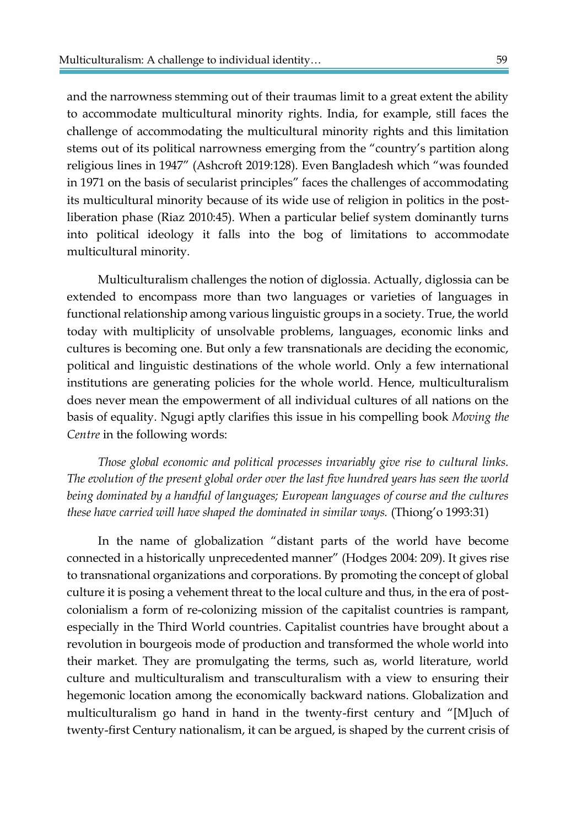and the narrowness stemming out of their traumas limit to a great extent the ability to accommodate multicultural minority rights. India, for example, still faces the challenge of accommodating the multicultural minority rights and this limitation stems out of its political narrowness emerging from the "country's partition along religious lines in 1947" (Ashcroft 2019:128). Even Bangladesh which "was founded in 1971 on the basis of secularist principles" faces the challenges of accommodating its multicultural minority because of its wide use of religion in politics in the postliberation phase (Riaz 2010:45). When a particular belief system dominantly turns into political ideology it falls into the bog of limitations to accommodate multicultural minority.

Multiculturalism challenges the notion of diglossia. Actually, diglossia can be extended to encompass more than two languages or varieties of languages in functional relationship among various linguistic groups in a society. True, the world today with multiplicity of unsolvable problems, languages, economic links and cultures is becoming one. But only a few transnationals are deciding the economic, political and linguistic destinations of the whole world. Only a few international institutions are generating policies for the whole world. Hence, multiculturalism does never mean the empowerment of all individual cultures of all nations on the basis of equality. Ngugi aptly clarifies this issue in his compelling book *Moving the Centre* in the following words:

*Those global economic and political processes invariably give rise to cultural links. The evolution of the present global order over the last five hundred years has seen the world being dominated by a handful of languages; European languages of course and the cultures these have carried will have shaped the dominated in similar ways.* (Thiong'o 1993:31)

In the name of globalization "distant parts of the world have become connected in a historically unprecedented manner" (Hodges 2004: 209). It gives rise to transnational organizations and corporations. By promoting the concept of global culture it is posing a vehement threat to the local culture and thus, in the era of postcolonialism a form of re-colonizing mission of the capitalist countries is rampant, especially in the Third World countries. Capitalist countries have brought about a revolution in bourgeois mode of production and transformed the whole world into their market. They are promulgating the terms, such as, world literature, world culture and multiculturalism and transculturalism with a view to ensuring their hegemonic location among the economically backward nations. Globalization and multiculturalism go hand in hand in the twenty-first century and "[M]uch of twenty-first Century nationalism, it can be argued, is shaped by the current crisis of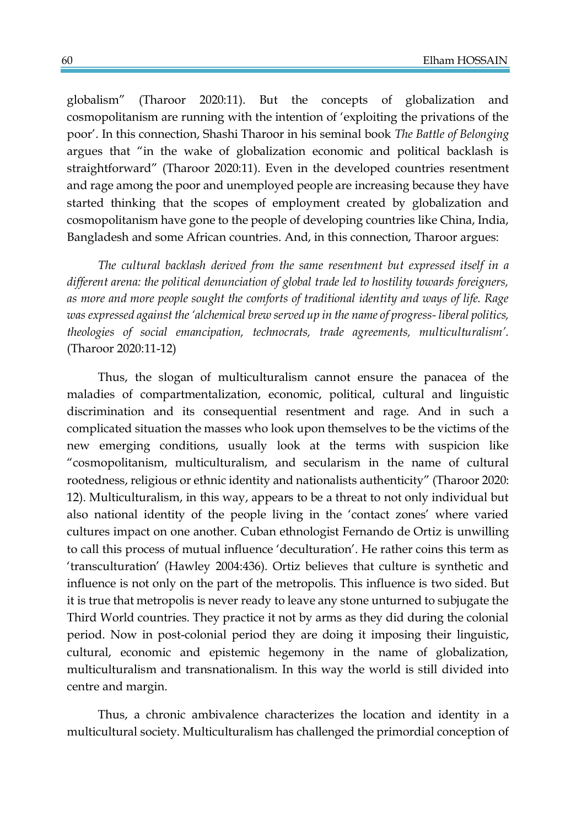globalism" (Tharoor 2020:11). But the concepts of globalization and cosmopolitanism are running with the intention of 'exploiting the privations of the poor'. In this connection, Shashi Tharoor in his seminal book *The Battle of Belonging* argues that "in the wake of globalization economic and political backlash is straightforward" (Tharoor 2020:11). Even in the developed countries resentment and rage among the poor and unemployed people are increasing because they have started thinking that the scopes of employment created by globalization and cosmopolitanism have gone to the people of developing countries like China, India, Bangladesh and some African countries. And, in this connection, Tharoor argues:

*The cultural backlash derived from the same resentment but expressed itself in a different arena: the political denunciation of global trade led to hostility towards foreigners, as more and more people sought the comforts of traditional identity and ways of life. Rage was expressed against the 'alchemical brew served up in the name of progress- liberal politics, theologies of social emancipation, technocrats, trade agreements, multiculturalism'.*  (Tharoor 2020:11-12)

Thus, the slogan of multiculturalism cannot ensure the panacea of the maladies of compartmentalization, economic, political, cultural and linguistic discrimination and its consequential resentment and rage. And in such a complicated situation the masses who look upon themselves to be the victims of the new emerging conditions, usually look at the terms with suspicion like "cosmopolitanism, multiculturalism, and secularism in the name of cultural rootedness, religious or ethnic identity and nationalists authenticity" (Tharoor 2020: 12). Multiculturalism, in this way, appears to be a threat to not only individual but also national identity of the people living in the 'contact zones' where varied cultures impact on one another. Cuban ethnologist Fernando de Ortiz is unwilling to call this process of mutual influence 'deculturation'. He rather coins this term as 'transculturation' (Hawley 2004:436). Ortiz believes that culture is synthetic and influence is not only on the part of the metropolis. This influence is two sided. But it is true that metropolis is never ready to leave any stone unturned to subjugate the Third World countries. They practice it not by arms as they did during the colonial period. Now in post-colonial period they are doing it imposing their linguistic, cultural, economic and epistemic hegemony in the name of globalization, multiculturalism and transnationalism. In this way the world is still divided into centre and margin.

Thus, a chronic ambivalence characterizes the location and identity in a multicultural society. Multiculturalism has challenged the primordial conception of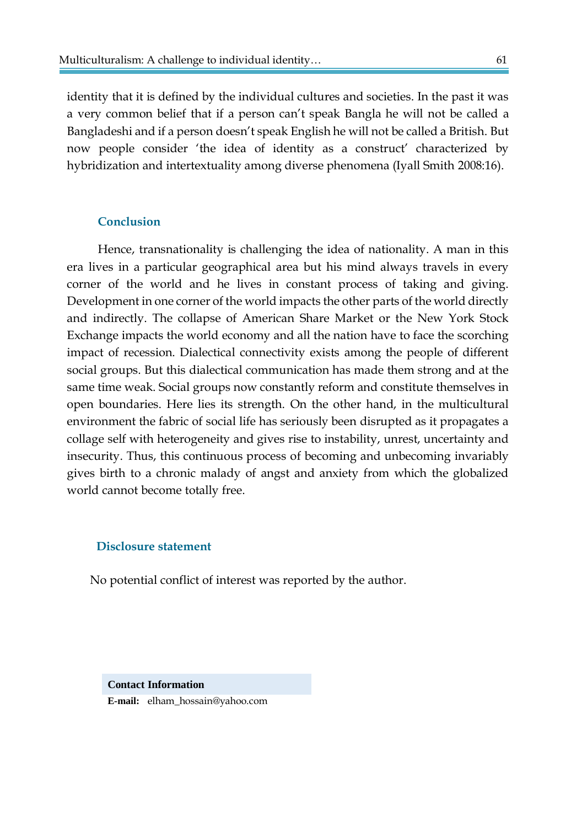identity that it is defined by the individual cultures and societies. In the past it was a very common belief that if a person can't speak Bangla he will not be called a Bangladeshi and if a person doesn't speak English he will not be called a British. But now people consider 'the idea of identity as a construct' characterized by hybridization and intertextuality among diverse phenomena (Iyall Smith 2008:16).

## **Conclusion**

Hence, transnationality is challenging the idea of nationality. A man in this era lives in a particular geographical area but his mind always travels in every corner of the world and he lives in constant process of taking and giving. Development in one corner of the world impacts the other parts of the world directly and indirectly. The collapse of American Share Market or the New York Stock Exchange impacts the world economy and all the nation have to face the scorching impact of recession. Dialectical connectivity exists among the people of different social groups. But this dialectical communication has made them strong and at the same time weak. Social groups now constantly reform and constitute themselves in open boundaries. Here lies its strength. On the other hand, in the multicultural environment the fabric of social life has seriously been disrupted as it propagates a collage self with heterogeneity and gives rise to instability, unrest, uncertainty and insecurity. Thus, this continuous process of becoming and unbecoming invariably gives birth to a chronic malady of angst and anxiety from which the globalized world cannot become totally free.

#### **Disclosure statement**

No potential conflict of interest was reported by the author.

**Contact Information E-mail:** elham\_hossain@yahoo.com